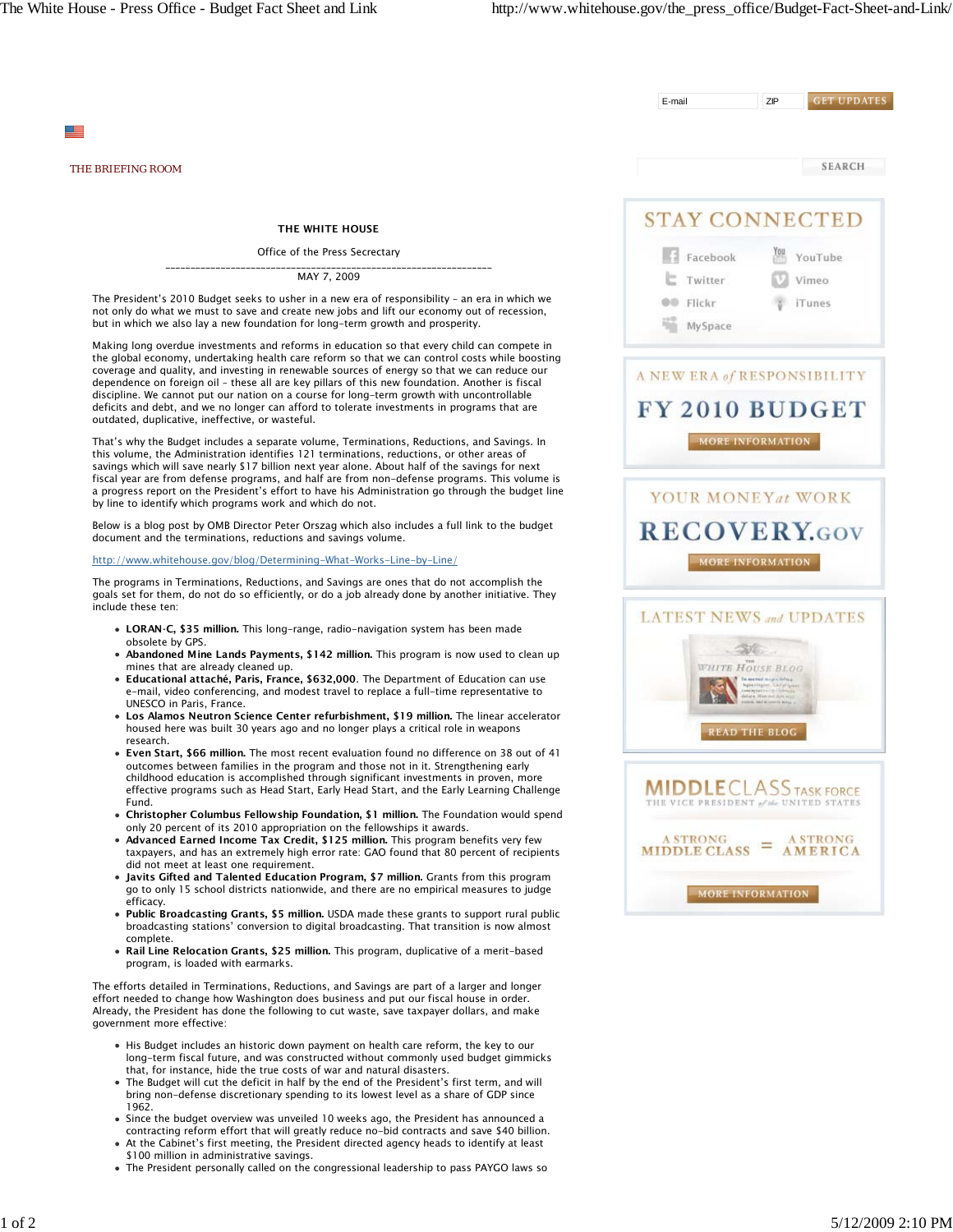